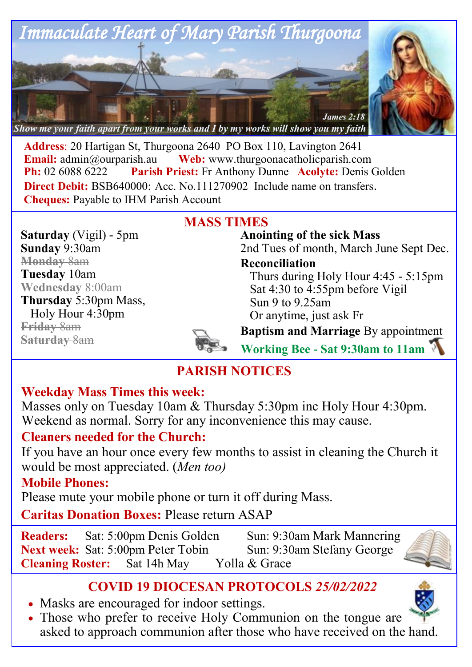

**Address**: 20 Hartigan St, Thurgoona 2640 PO Box 110, Lavington 2641 **Email:** [admin@ourparish.au](mailto:admin@ourparish.au) **Web:** www.thurgoonacatholicparish.com **Ph:** 02 6088 6222 **Parish Priest:** Fr Anthony Dunne **Acolyte:** Denis Golden **Direct Debit: BSB640000: Acc. No.111270902** Include name on transfers. **Cheques:** Payable to IHM Parish Account

**MASS TIMES**

**Saturday** (Vigil) - 5pm **Sunday** 9:30am **Monday** 8am **Tuesday** 10am **Wednesday** 8:00am **Thursday** 5:30pm Mass, Holy Hour 4:30pm **Friday** 8am **Saturday** 8am

**Anointing of the sick Mass** 2nd Tues of month, March June Sept Dec.

**Reconciliation** 

Thurs during Holy Hour 4:45 - 5:15pm Sat 4:30 to 4:55pm before Vigil Sun 9 to 9.25am Or anytime, just ask Fr

**Baptism and Marriage** By appointment

**Working Bee - Sat 9:30am to 11am**

# **PARISH NOTICES**

# **Weekday Mass Times this week:**

Masses only on Tuesday 10am & Thursday 5:30pm inc Holy Hour 4:30pm. Weekend as normal. Sorry for any inconvenience this may cause.

# **Cleaners needed for the Church:**

If you have an hour once every few months to assist in cleaning the Church it would be most appreciated. (*Men too)*

# **Mobile Phones:**

Please mute your mobile phone or turn it off during Mass.

**Caritas Donation Boxes:** Please return ASAP

**Readers:** Sat: 5:00pm Denis Golden Sun: 9:30am Mark Mannering **Next week:** Sat: 5:00pm Peter Tobin Sun: 9:30am Stefany George **Cleaning Roster:** Sat 14h May Yolla & Grace



- Masks are encouraged for indoor settings.
- Those who prefer to receive Holy Communion on the tongue are asked to approach communion after those who have received on the hand.



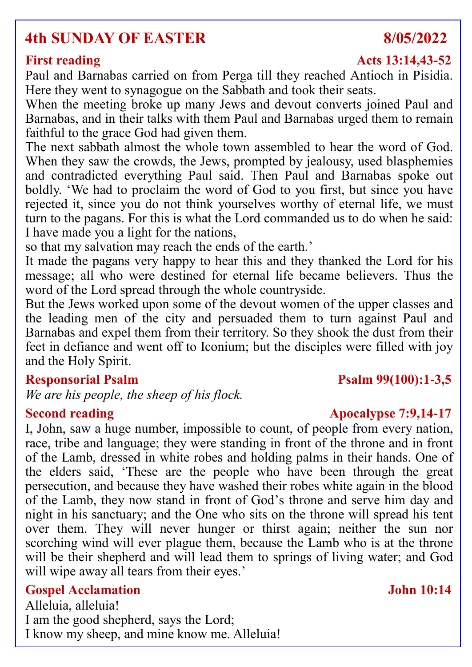# **4th SUNDAY OF EASTER 8/05/2022**

### **First reading Acts 13:14,43-52**

Paul and Barnabas carried on from Perga till they reached Antioch in Pisidia. Here they went to synagogue on the Sabbath and took their seats.

When the meeting broke up many Jews and devout converts joined Paul and Barnabas, and in their talks with them Paul and Barnabas urged them to remain faithful to the grace God had given them.

The next sabbath almost the whole town assembled to hear the word of God. When they saw the crowds, the Jews, prompted by jealousy, used blasphemies and contradicted everything Paul said. Then Paul and Barnabas spoke out boldly. 'We had to proclaim the word of God to you first, but since you have rejected it, since you do not think yourselves worthy of eternal life, we must turn to the pagans. For this is what the Lord commanded us to do when he said: I have made you a light for the nations,

so that my salvation may reach the ends of the earth.'

It made the pagans very happy to hear this and they thanked the Lord for his message; all who were destined for eternal life became believers. Thus the word of the Lord spread through the whole countryside.

But the Jews worked upon some of the devout women of the upper classes and the leading men of the city and persuaded them to turn against Paul and Barnabas and expel them from their territory. So they shook the dust from their feet in defiance and went off to Iconium; but the disciples were filled with joy and the Holy Spirit.

*We are his people, the sheep of his flock.*

I, John, saw a huge number, impossible to count, of people from every nation, race, tribe and language; they were standing in front of the throne and in front of the Lamb, dressed in white robes and holding palms in their hands. One of the elders said, 'These are the people who have been through the great persecution, and because they have washed their robes white again in the blood of the Lamb, they now stand in front of God's throne and serve him day and night in his sanctuary; and the One who sits on the throne will spread his tent over them. They will never hunger or thirst again; neither the sun nor scorching wind will ever plague them, because the Lamb who is at the throne will be their shepherd and will lead them to springs of living water; and God will wipe away all tears from their eyes.'

### **Gospel Acclamation John 10:14**

Alleluia, alleluia! I am the good shepherd, says the Lord; I know my sheep, and mine know me. Alleluia!

### **Responsorial Psalm Psalm 99(100):1-3,5**

### **Second reading Apocalypse 7:9,14-17**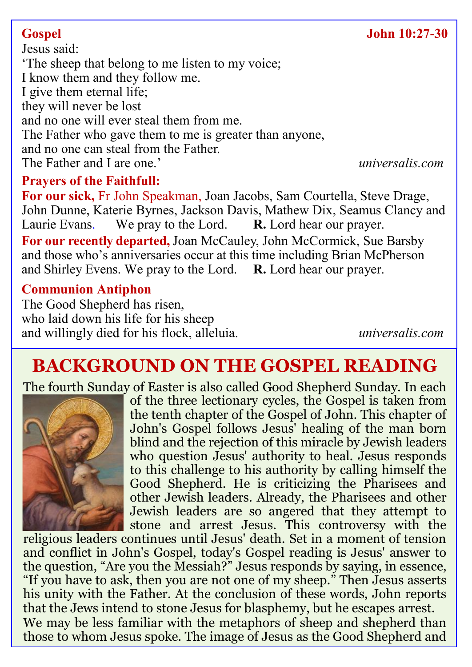## **Gospel John 10:27-30**

Jesus said: 'The sheep that belong to me listen to my voice; I know them and they follow me. I give them eternal life; they will never be lost and no one will ever steal them from me. The Father who gave them to me is greater than anyone, and no one can steal from the Father. The Father and I are one.' *universalis.com*

### **Prayers of the Faithfull:**

**For our sick,** Fr John Speakman, Joan Jacobs, Sam Courtella, Steve Drage, John Dunne, Katerie Byrnes, Jackson Davis, Mathew Dix, Seamus Clancy and Laurie Evans. We pray to the Lord. R. Lord hear our prayer. Laurie Evans. We pray to the Lord. **R.** Lord hear our prayer.

**For our recently departed,**Joan McCauley, John McCormick, Sue Barsby and those who's anniversaries occur at this time including Brian McPherson and Shirley Evens. We pray to the Lord. **R.** Lord hear our prayer.

### **Communion Antiphon**

The Good Shepherd has risen, who laid down his life for his sheep and willingly died for his flock, alleluia. *universalis.com*

# **BACKGROUND ON THE GOSPEL READING**

The fourth Sunday of Easter is also called Good Shepherd Sunday. In each



of the three lectionary cycles, the Gospel is taken from the tenth chapter of the Gospel of John. This chapter of John's Gospel follows Jesus' healing of the man born blind and the rejection of this miracle by Jewish leaders who question Jesus' authority to heal. Jesus responds to this challenge to his authority by calling himself the Good Shepherd. He is criticizing the Pharisees and other Jewish leaders. Already, the Pharisees and other Jewish leaders are so angered that they attempt to stone and arrest Jesus. This controversy with the

religious leaders continues until Jesus' death. Set in a moment of tension and conflict in John's Gospel, today's Gospel reading is Jesus' answer to the question, "Are you the Messiah?" Jesus responds by saying, in essence, "If you have to ask, then you are not one of my sheep." Then Jesus asserts his unity with the Father. At the conclusion of these words, John reports that the Jews intend to stone Jesus for blasphemy, but he escapes arrest. We may be less familiar with the metaphors of sheep and shepherd than those to whom Jesus spoke. The image of Jesus as the Good Shepherd and